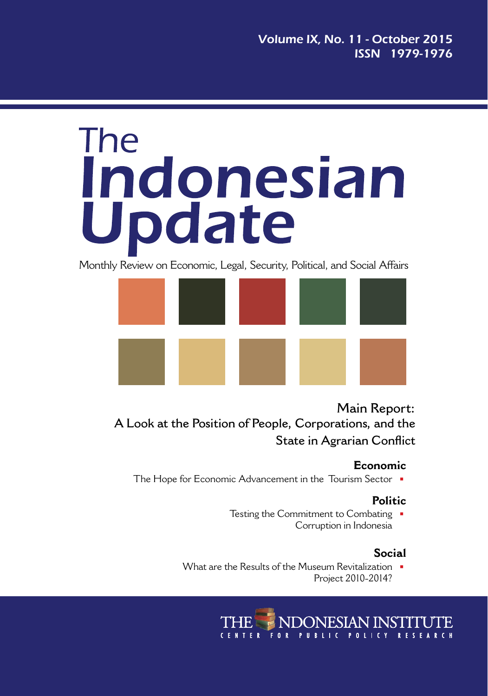# **The** Indonesian Update

Monthly Review on Economic, Legal, Security, Political, and Social Affairs



**Main Report: A Look at the Position of People, Corporations, and the State in Agrarian Conflict**

#### **Economic**

The Hope for Economic Advancement in the Tourism Sector  $\blacksquare$ 

#### **Politic**

Testing the Commitment to Combating  $\blacksquare$ Corruption in Indonesia

#### **Social**

What are the Results of the Museum Revitalization  $\blacksquare$ Project 2010-2014?

> NDONESIAN INSTITUTE FOR PUBLIC POLICY RESEARCH **CENTER**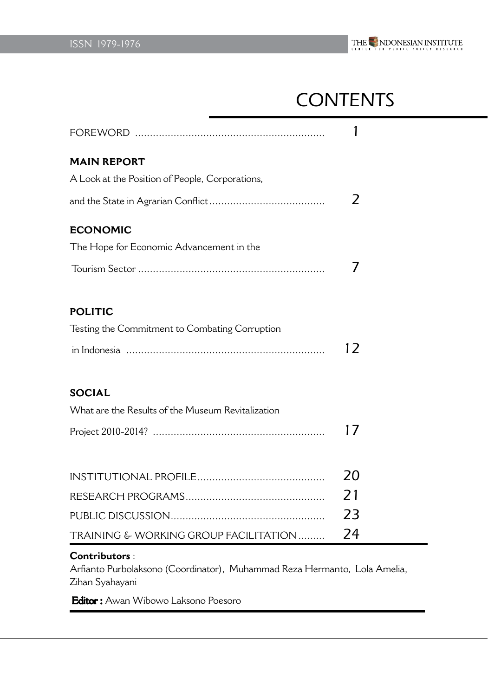

# **CONTENTS**

| <b>MAIN REPORT</b>                                |               |
|---------------------------------------------------|---------------|
| A Look at the Position of People, Corporations,   |               |
|                                                   | $\mathcal{P}$ |
| <b>ECONOMIC</b>                                   |               |
| The Hope for Economic Advancement in the          |               |
|                                                   | 7             |
| <b>POLITIC</b>                                    |               |
| Testing the Commitment to Combating Corruption    |               |
|                                                   | 12            |
| <b>SOCIAL</b>                                     |               |
| What are the Results of the Museum Revitalization |               |
|                                                   | 17            |
|                                                   |               |
|                                                   | 20            |
|                                                   | 21            |
|                                                   | 23            |
| TRAINING & WORKING GROUP FACILITATION             | 24            |

#### **Contributors** :

Arfianto Purbolaksono (Coordinator), Muhammad Reza Hermanto, Lola Amelia, Zihan Syahayani

Editor : Awan Wibowo Laksono Poesoro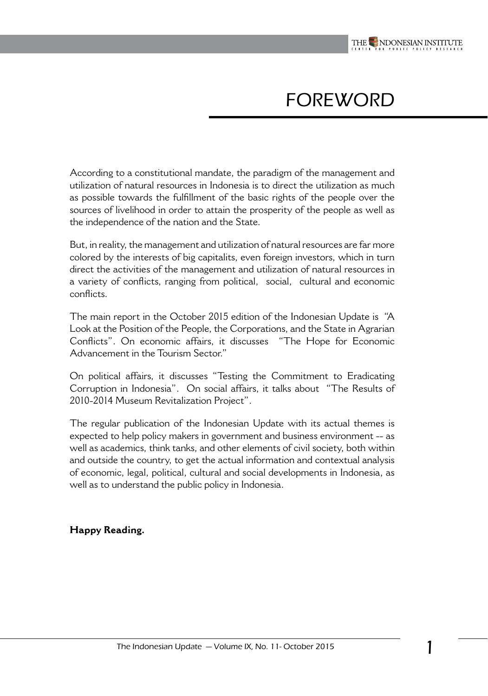

# FOREWORD

According to a constitutional mandate, the paradigm of the management and utilization of natural resources in Indonesia is to direct the utilization as much as possible towards the fulfillment of the basic rights of the people over the sources of livelihood in order to attain the prosperity of the people as well as the independence of the nation and the State.

But, in reality, the management and utilization of natural resources are far more colored by the interests of big capitalits, even foreign investors, which in turn direct the activities of the management and utilization of natural resources in a variety of conflicts, ranging from political, social, cultural and economic conflicts.

The main report in the October 2015 edition of the Indonesian Update is "A Look at the Position of the People, the Corporations, and the State in Agrarian Conflicts". On economic affairs, it discusses "The Hope for Economic Advancement in the Tourism Sector."

On political affairs, it discusses "Testing the Commitment to Eradicating Corruption in Indonesia". On social affairs, it talks about "The Results of 2010-2014 Museum Revitalization Project".

The regular publication of the Indonesian Update with its actual themes is expected to help policy makers in government and business environment -- as well as academics, think tanks, and other elements of civil society, both within and outside the country, to get the actual information and contextual analysis of economic, legal, political, cultural and social developments in Indonesia, as well as to understand the public policy in Indonesia.

#### **Happy Reading.**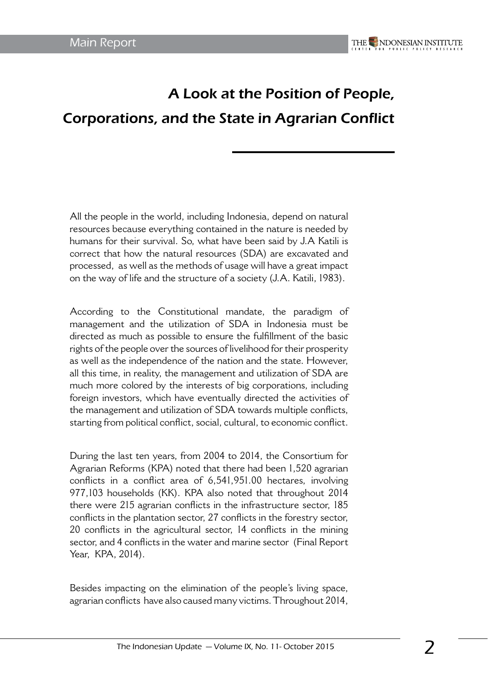# A Look at the Position of People, Corporations, and the State in Agrarian Conflict

All the people in the world, including Indonesia, depend on natural resources because everything contained in the nature is needed by humans for their survival. So, what have been said by J.A Katili is correct that how the natural resources (SDA) are excavated and processed, as well as the methods of usage will have a great impact on the way of life and the structure of a society (J.A. Katili, 1983).

According to the Constitutional mandate, the paradigm of management and the utilization of SDA in Indonesia must be directed as much as possible to ensure the fulfillment of the basic rights of the people over the sources of livelihood for their prosperity as well as the independence of the nation and the state. However, all this time, in reality, the management and utilization of SDA are much more colored by the interests of big corporations, including foreign investors, which have eventually directed the activities of the management and utilization of SDA towards multiple conflicts, starting from political conflict, social, cultural, to economic conflict.

During the last ten years, from 2004 to 2014, the Consortium for Agrarian Reforms (KPA) noted that there had been 1,520 agrarian conflicts in a conflict area of 6,541,951.00 hectares, involving 977,103 households (KK). KPA also noted that throughout 2014 there were 215 agrarian conflicts in the infrastructure sector, 185 conflicts in the plantation sector, 27 conflicts in the forestry sector, 20 conflicts in the agricultural sector, 14 conflicts in the mining sector, and 4 conflicts in the water and marine sector (Final Report Year, KPA, 2014).

Besides impacting on the elimination of the people's living space, agrarian conflicts have also caused many victims. Throughout 2014,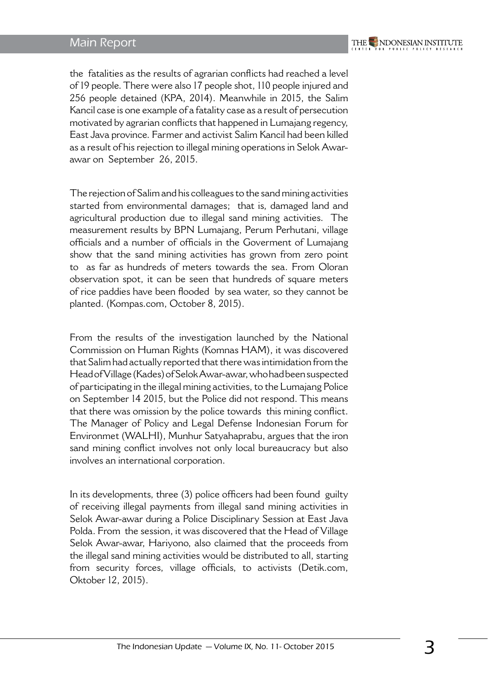#### Main Report

the fatalities as the results of agrarian conflicts had reached a level of 19 people. There were also 17 people shot, 110 people injured and 256 people detained (KPA, 2014). Meanwhile in 2015, the Salim Kancil case is one example of a fatality case as a result of persecution motivated by agrarian conflicts that happened in Lumajang regency, East Java province. Farmer and activist Salim Kancil had been killed as a result of his rejection to illegal mining operations in Selok Awarawar on September 26, 2015.

The rejection of Salim and his colleagues to the sand mining activities started from environmental damages; that is, damaged land and agricultural production due to illegal sand mining activities. The measurement results by BPN Lumajang, Perum Perhutani, village officials and a number of officials in the Goverment of Lumajang show that the sand mining activities has grown from zero point to as far as hundreds of meters towards the sea. From Oloran observation spot, it can be seen that hundreds of square meters of rice paddies have been flooded by sea water, so they cannot be planted. (Kompas.com, October 8, 2015).

From the results of the investigation launched by the National Commission on Human Rights (Komnas HAM), it was discovered that Salim had actually reported that there was intimidation from the Head of Village (Kades) of Selok Awar-awar, who had been suspected of participating in the illegal mining activities, to the Lumajang Police on September 14 2015, but the Police did not respond. This means that there was omission by the police towards this mining conflict. The Manager of Policy and Legal Defense Indonesian Forum for Environmet (WALHI), Munhur Satyahaprabu, argues that the iron sand mining conflict involves not only local bureaucracy but also involves an international corporation.

In its developments, three (3) police officers had been found guilty of receiving illegal payments from illegal sand mining activities in Selok Awar-awar during a Police Disciplinary Session at East Java Polda. From the session, it was discovered that the Head of Village Selok Awar-awar, Hariyono, also claimed that the proceeds from the illegal sand mining activities would be distributed to all, starting from security forces, village officials, to activists (Detik.com, Oktober 12, 2015).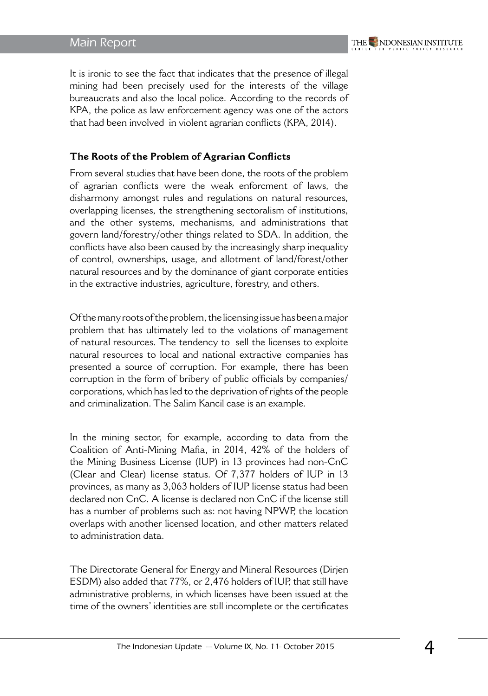#### Main Report

It is ironic to see the fact that indicates that the presence of illegal mining had been precisely used for the interests of the village bureaucrats and also the local police. According to the records of KPA, the police as law enforcement agency was one of the actors that had been involved in violent agrarian conflicts (KPA, 2014).

#### **The Roots of the Problem of Agrarian Conflicts**

From several studies that have been done, the roots of the problem of agrarian conflicts were the weak enforcment of laws, the disharmony amongst rules and regulations on natural resources, overlapping licenses, the strengthening sectoralism of institutions, and the other systems, mechanisms, and administrations that govern land/forestry/other things related to SDA. In addition, the conflicts have also been caused by the increasingly sharp inequality of control, ownerships, usage, and allotment of land/forest/other natural resources and by the dominance of giant corporate entities in the extractive industries, agriculture, forestry, and others.

Of the many roots of the problem, the licensing issue has been a major problem that has ultimately led to the violations of management of natural resources. The tendency to sell the licenses to exploite natural resources to local and national extractive companies has presented a source of corruption. For example, there has been corruption in the form of bribery of public officials by companies/ corporations, which has led to the deprivation of rights of the people and criminalization. The Salim Kancil case is an example.

In the mining sector, for example, according to data from the Coalition of Anti-Mining Mafia, in 2014, 42% of the holders of the Mining Business License (IUP) in 13 provinces had non-CnC (Clear and Clear) license status. Of 7,377 holders of IUP in 13 provinces, as many as 3,063 holders of IUP license status had been declared non CnC. A license is declared non CnC if the license still has a number of problems such as: not having NPWP, the location overlaps with another licensed location, and other matters related to administration data.

The Directorate General for Energy and Mineral Resources (Dirjen ESDM) also added that 77%, or 2,476 holders of IUP, that still have administrative problems, in which licenses have been issued at the time of the owners' identities are still incomplete or the certificates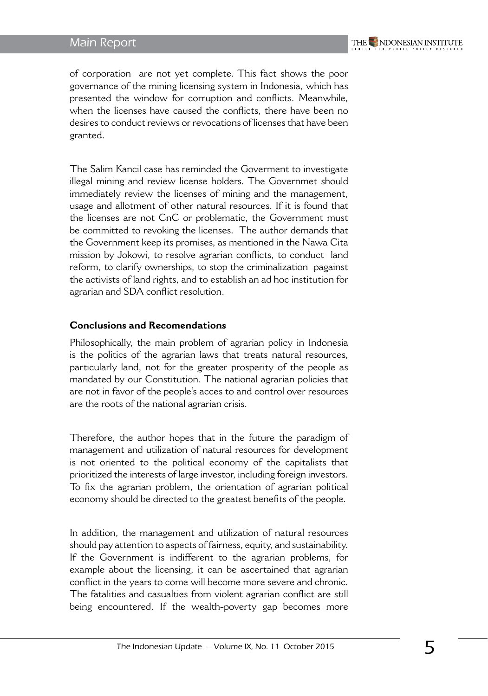of corporation are not yet complete. This fact shows the poor governance of the mining licensing system in Indonesia, which has presented the window for corruption and conflicts. Meanwhile, when the licenses have caused the conflicts, there have been no desires to conduct reviews or revocations of licenses that have been granted.

The Salim Kancil case has reminded the Goverment to investigate illegal mining and review license holders. The Governmet should immediately review the licenses of mining and the management, usage and allotment of other natural resources. If it is found that the licenses are not CnC or problematic, the Government must be committed to revoking the licenses. The author demands that the Government keep its promises, as mentioned in the Nawa Cita mission by Jokowi, to resolve agrarian conflicts, to conduct land reform, to clarify ownerships, to stop the criminalization pagainst the activists of land rights, and to establish an ad hoc institution for agrarian and SDA conflict resolution.

#### **Conclusions and Recomendations**

Philosophically, the main problem of agrarian policy in Indonesia is the politics of the agrarian laws that treats natural resources, particularly land, not for the greater prosperity of the people as mandated by our Constitution. The national agrarian policies that are not in favor of the people's acces to and control over resources are the roots of the national agrarian crisis.

Therefore, the author hopes that in the future the paradigm of management and utilization of natural resources for development is not oriented to the political economy of the capitalists that prioritized the interests of large investor, including foreign investors. To fix the agrarian problem, the orientation of agrarian political economy should be directed to the greatest benefits of the people.

In addition, the management and utilization of natural resources should pay attention to aspects of fairness, equity, and sustainability. If the Government is indifferent to the agrarian problems, for example about the licensing, it can be ascertained that agrarian conflict in the years to come will become more severe and chronic. The fatalities and casualties from violent agrarian conflict are still being encountered. If the wealth-poverty gap becomes more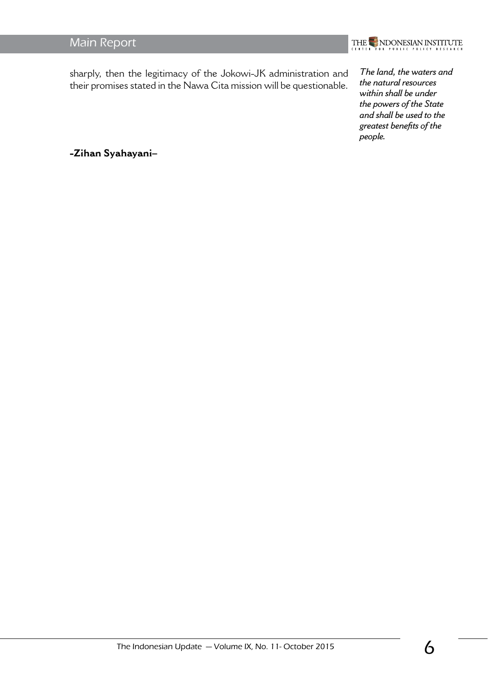### Main Report



sharply, then the legitimacy of the Jokowi-JK administration and their promises stated in the Nawa Cita mission will be questionable.

*The land, the waters and the natural resources within shall be under the powers of the State and shall be used to the greatest benefits of the people.*

**-Zihan Syahayani–**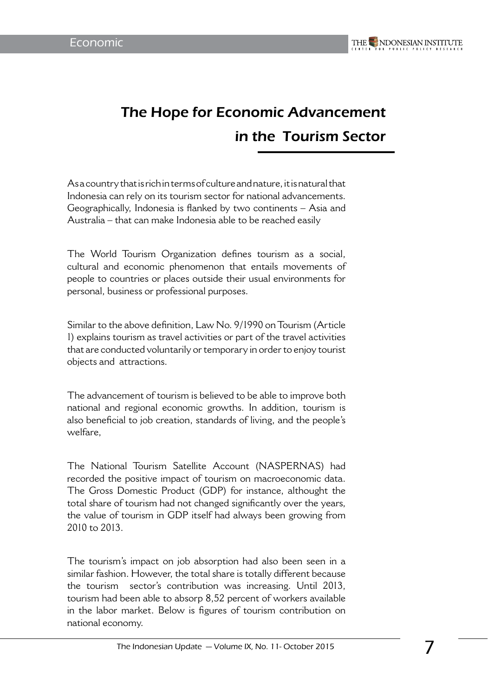# The Hope for Economic Advancement in the Tourism Sector

As a country that is rich in terms of culture and nature, it is natural that Indonesia can rely on its tourism sector for national advancements. Geographically, Indonesia is flanked by two continents – Asia and Australia – that can make Indonesia able to be reached easily

The World Tourism Organization defines tourism as a social, cultural and economic phenomenon that entails movements of people to countries or places outside their usual environments for personal, business or professional purposes.

Similar to the above definition, Law No. 9/1990 on Tourism (Article 1) explains tourism as travel activities or part of the travel activities that are conducted voluntarily or temporary in order to enjoy tourist objects and attractions.

The advancement of tourism is believed to be able to improve both national and regional economic growths. In addition, tourism is also beneficial to job creation, standards of living, and the people's welfare,

The National Tourism Satellite Account (NASPERNAS) had recorded the positive impact of tourism on macroeconomic data. The Gross Domestic Product (GDP) for instance, althought the total share of tourism had not changed significantly over the years, the value of tourism in GDP itself had always been growing from 2010 to 2013.

The tourism's impact on job absorption had also been seen in a similar fashion. However, the total share is totally different because the tourism sector's contribution was increasing. Until 2013, tourism had been able to absorp 8,52 percent of workers available in the labor market. Below is figures of tourism contribution on national economy.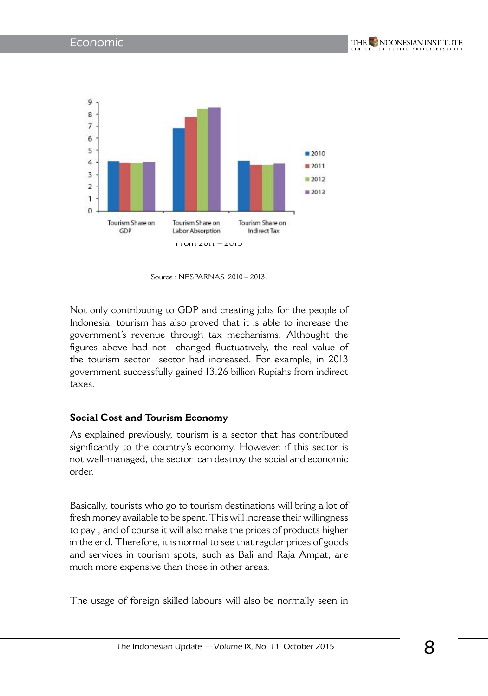



Not only contributing to GDP and creating jobs for the people of Indonesia, tourism has also proved that it is able to increase the government's revenue through tax mechanisms. Althought the figures above had not changed fluctuatively, the real value of the tourism sector sector had increased. For example, in 2013 government successfully gained 13.26 billion Rupiahs from indirect taxes.

#### **Social Cost and Tourism Economy**

As explained previously, tourism is a sector that has contributed significantly to the country's economy. However, if this sector is not well-managed, the sector can destroy the social and economic order.

Basically, tourists who go to tourism destinations will bring a lot of fresh money available to be spent. This will increase their willingness to pay , and of course it will also make the prices of products higher in the end. Therefore, it is normal to see that regular prices of goods and services in tourism spots, such as Bali and Raja Ampat, are much more expensive than those in other areas.

The usage of foreign skilled labours will also be normally seen in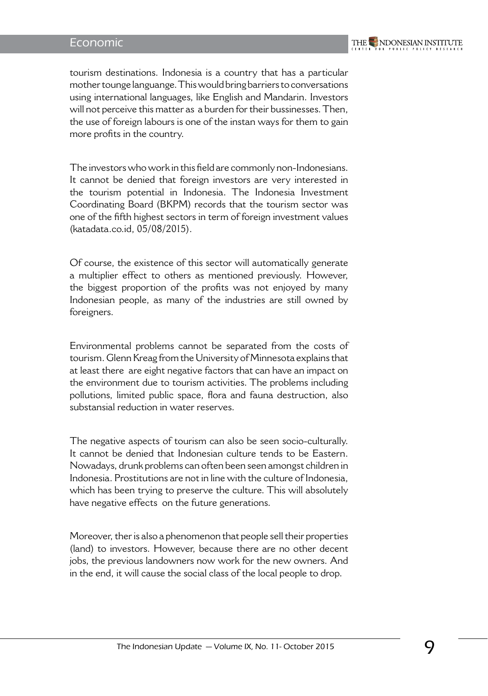#### Economic

tourism destinations. Indonesia is a country that has a particular mother tounge languange. This would bring barriers to conversations using international languages, like English and Mandarin. Investors will not perceive this matter as a burden for their bussinesses. Then, the use of foreign labours is one of the instan ways for them to gain more profits in the country.

The investors who work in this field are commonly non-Indonesians. It cannot be denied that foreign investors are very interested in the tourism potential in Indonesia. The Indonesia Investment Coordinating Board (BKPM) records that the tourism sector was one of the fifth highest sectors in term of foreign investment values (katadata.co.id, 05/08/2015).

Of course, the existence of this sector will automatically generate a multiplier effect to others as mentioned previously. However, the biggest proportion of the profits was not enjoyed by many Indonesian people, as many of the industries are still owned by foreigners.

Environmental problems cannot be separated from the costs of tourism. Glenn Kreag from the University of Minnesota explains that at least there are eight negative factors that can have an impact on the environment due to tourism activities. The problems including pollutions, limited public space, flora and fauna destruction, also substansial reduction in water reserves.

The negative aspects of tourism can also be seen socio-culturally. It cannot be denied that Indonesian culture tends to be Eastern. Nowadays, drunk problems can often been seen amongst children in Indonesia. Prostitutions are not in line with the culture of Indonesia, which has been trying to preserve the culture. This will absolutely have negative effects on the future generations.

Moreover, ther is also a phenomenon that people sell their properties (land) to investors. However, because there are no other decent jobs, the previous landowners now work for the new owners. And in the end, it will cause the social class of the local people to drop.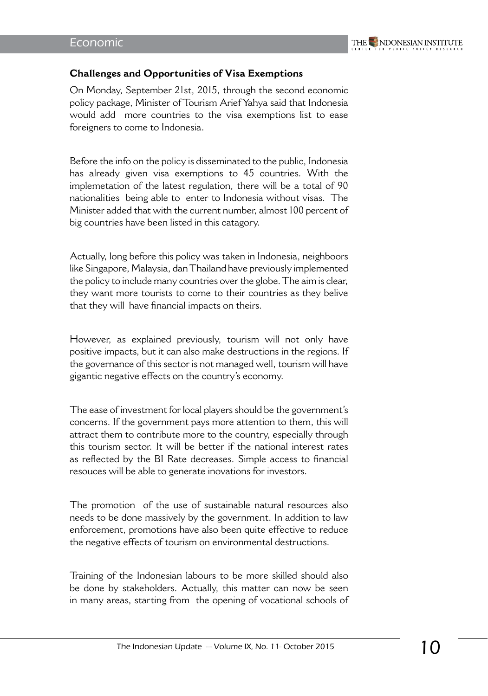

#### **Challenges and Opportunities of Visa Exemptions**

On Monday, September 21st, 2015, through the second economic policy package, Minister of Tourism Arief Yahya said that Indonesia would add more countries to the visa exemptions list to ease foreigners to come to Indonesia.

Before the info on the policy is disseminated to the public, Indonesia has already given visa exemptions to 45 countries. With the implemetation of the latest regulation, there will be a total of 90 nationalities being able to enter to Indonesia without visas. The Minister added that with the current number, almost 100 percent of big countries have been listed in this catagory.

Actually, long before this policy was taken in Indonesia, neighboors like Singapore, Malaysia, dan Thailand have previously implemented the policy to include many countries over the globe. The aim is clear, they want more tourists to come to their countries as they belive that they will have financial impacts on theirs.

However, as explained previously, tourism will not only have positive impacts, but it can also make destructions in the regions. If the governance of this sector is not managed well, tourism will have gigantic negative effects on the country's economy.

The ease of investment for local players should be the government's concerns. If the government pays more attention to them, this will attract them to contribute more to the country, especially through this tourism sector. It will be better if the national interest rates as reflected by the BI Rate decreases. Simple access to financial resouces will be able to generate inovations for investors.

The promotion of the use of sustainable natural resources also needs to be done massively by the government. In addition to law enforcement, promotions have also been quite effective to reduce the negative effects of tourism on environmental destructions.

Training of the Indonesian labours to be more skilled should also be done by stakeholders. Actually, this matter can now be seen in many areas, starting from the opening of vocational schools of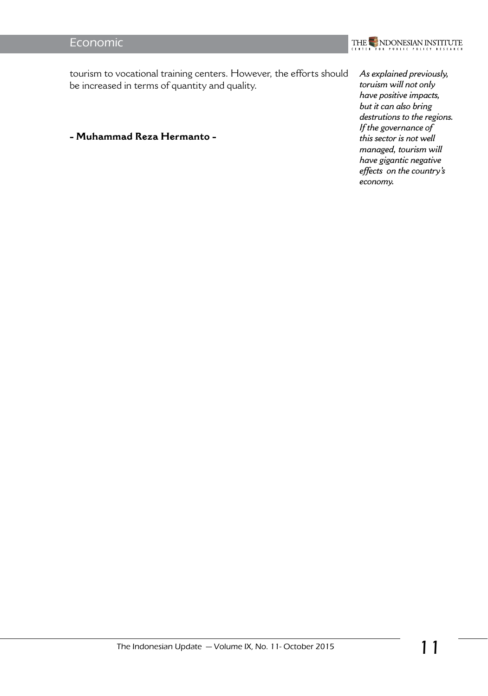### Economic



tourism to vocational training centers. However, the efforts should be increased in terms of quantity and quality.

**- Muhammad Reza Hermanto -** 

*As explained previously, toruism will not only have positive impacts, but it can also bring destrutions to the regions. If the governance of this sector is not well managed, tourism will have gigantic negative effects on the country's economy.*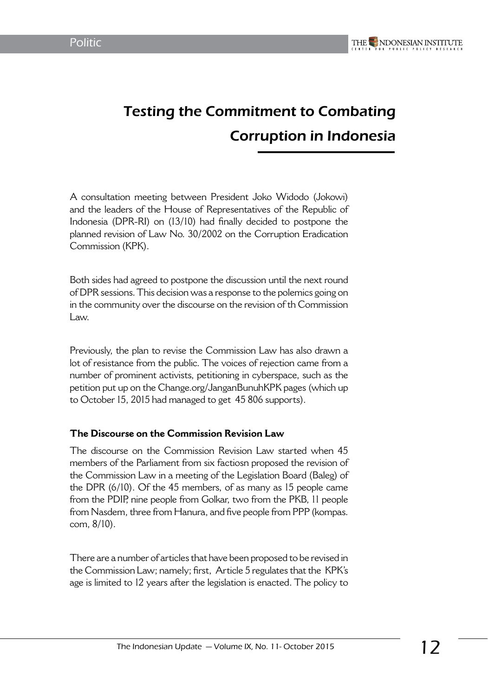# Testing the Commitment to Combating Corruption in Indonesia

A consultation meeting between President Joko Widodo (Jokowi) and the leaders of the House of Representatives of the Republic of Indonesia (DPR-RI) on (13/10) had finally decided to postpone the planned revision of Law No. 30/2002 on the Corruption Eradication Commission (KPK).

Both sides had agreed to postpone the discussion until the next round of DPR sessions. This decision was a response to the polemics going on in the community over the discourse on the revision of th Commission Law.

Previously, the plan to revise the Commission Law has also drawn a lot of resistance from the public. The voices of rejection came from a number of prominent activists, petitioning in cyberspace, such as the petition put up on the Change.org/JanganBunuhKPK pages (which up to October 15, 2015 had managed to get 45 806 supports).

#### **The Discourse on the Commission Revision Law**

The discourse on the Commission Revision Law started when 45 members of the Parliament from six factiosn proposed the revision of the Commission Law in a meeting of the Legislation Board (Baleg) of the DPR (6/10). Of the 45 members, of as many as 15 people came from the PDIP, nine people from Golkar, two from the PKB, 11 people from Nasdem, three from Hanura, and five people from PPP (kompas. com, 8/10).

There are a number of articles that have been proposed to be revised in the Commission Law; namely; first, Article 5 regulates that the KPK's age is limited to 12 years after the legislation is enacted. The policy to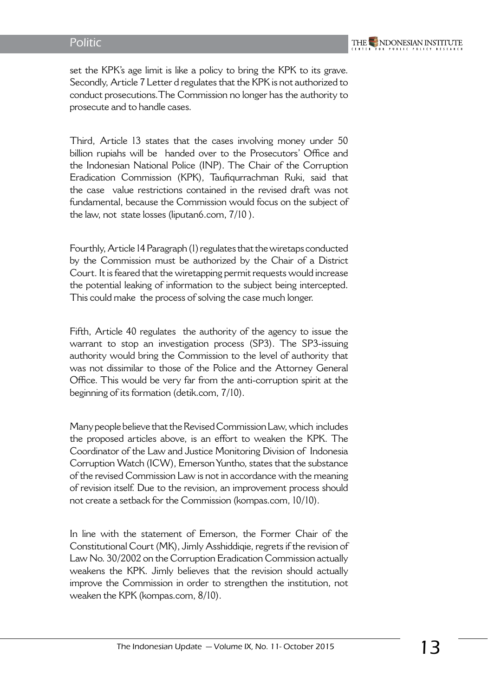set the KPK's age limit is like a policy to bring the KPK to its grave. Secondly, Article 7 Letter d regulates that the KPK is not authorized to conduct prosecutions.The Commission no longer has the authority to prosecute and to handle cases.

Third, Article 13 states that the cases involving money under 50 billion rupiahs will be handed over to the Prosecutors' Office and the Indonesian National Police (INP). The Chair of the Corruption Eradication Commission (KPK), Taufiqurrachman Ruki, said that the case value restrictions contained in the revised draft was not fundamental, because the Commission would focus on the subject of the law, not state losses (liputan6.com, 7/10 ).

Fourthly, Article 14 Paragraph (1) regulates that the wiretaps conducted by the Commission must be authorized by the Chair of a District Court. It is feared that the wiretapping permit requests would increase the potential leaking of information to the subject being intercepted. This could make the process of solving the case much longer.

Fifth, Article 40 regulates the authority of the agency to issue the warrant to stop an investigation process (SP3). The SP3-issuing authority would bring the Commission to the level of authority that was not dissimilar to those of the Police and the Attorney General Office. This would be very far from the anti-corruption spirit at the beginning of its formation (detik.com, 7/10).

Many people believe that the Revised Commission Law, which includes the proposed articles above, is an effort to weaken the KPK. The Coordinator of the Law and Justice Monitoring Division of Indonesia Corruption Watch (ICW), Emerson Yuntho, states that the substance of the revised Commission Law is not in accordance with the meaning of revision itself. Due to the revision, an improvement process should not create a setback for the Commission (kompas.com, 10/10).

In line with the statement of Emerson, the Former Chair of the Constitutional Court (MK), Jimly Asshiddiqie, regrets if the revision of Law No. 30/2002 on the Corruption Eradication Commission actually weakens the KPK. Jimly believes that the revision should actually improve the Commission in order to strengthen the institution, not weaken the KPK (kompas.com, 8/10).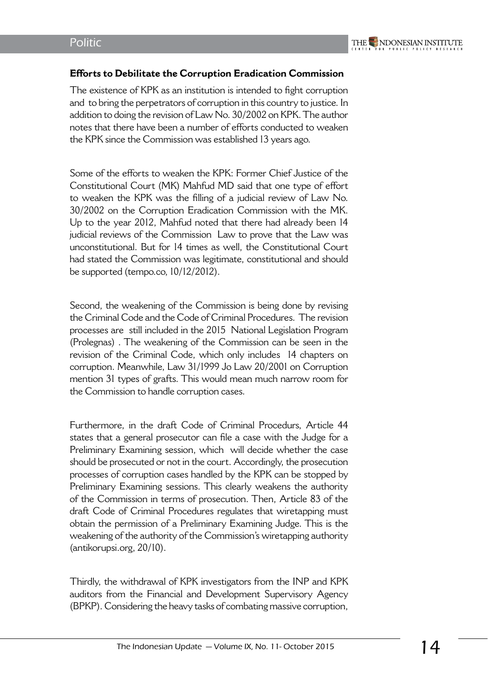#### **Efforts to Debilitate the Corruption Eradication Commission**

The existence of KPK as an institution is intended to fight corruption and to bring the perpetrators of corruption in this country to justice. In addition to doing the revision of Law No. 30/2002 on KPK. The author notes that there have been a number of efforts conducted to weaken the KPK since the Commission was established 13 years ago.

Some of the efforts to weaken the KPK: Former Chief Justice of the Constitutional Court (MK) Mahfud MD said that one type of effort to weaken the KPK was the filling of a judicial review of Law No. 30/2002 on the Corruption Eradication Commission with the MK. Up to the year 2012, Mahfud noted that there had already been 14 judicial reviews of the Commission Law to prove that the Law was unconstitutional. But for 14 times as well, the Constitutional Court had stated the Commission was legitimate, constitutional and should be supported (tempo.co, 10/12/2012).

Second, the weakening of the Commission is being done by revising the Criminal Code and the Code of Criminal Procedures. The revision processes are still included in the 2015 National Legislation Program (Prolegnas) . The weakening of the Commission can be seen in the revision of the Criminal Code, which only includes 14 chapters on corruption. Meanwhile, Law 31/1999 Jo Law 20/2001 on Corruption mention 31 types of grafts. This would mean much narrow room for the Commission to handle corruption cases.

Furthermore, in the draft Code of Criminal Procedurs, Article 44 states that a general prosecutor can file a case with the Judge for a Preliminary Examining session, which will decide whether the case should be prosecuted or not in the court. Accordingly, the prosecution processes of corruption cases handled by the KPK can be stopped by Preliminary Examining sessions. This clearly weakens the authority of the Commission in terms of prosecution. Then, Article 83 of the draft Code of Criminal Procedures regulates that wiretapping must obtain the permission of a Preliminary Examining Judge. This is the weakening of the authority of the Commission's wiretapping authority (antikorupsi.org, 20/10).

Thirdly, the withdrawal of KPK investigators from the INP and KPK auditors from the Financial and Development Supervisory Agency (BPKP). Considering the heavy tasks of combating massive corruption,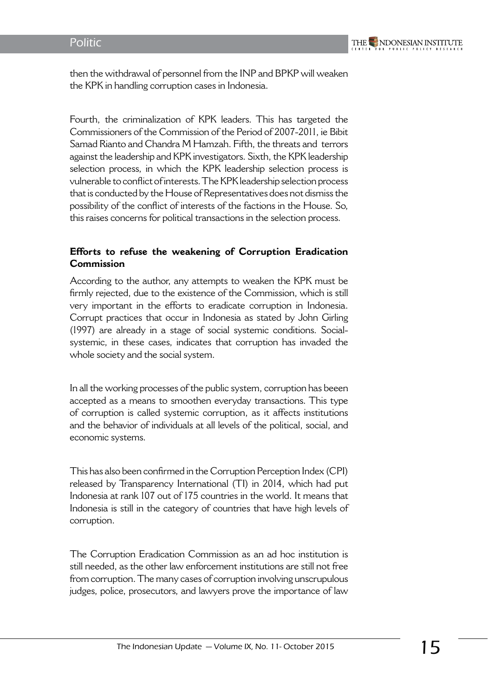

then the withdrawal of personnel from the INP and BPKP will weaken the KPK in handling corruption cases in Indonesia.

Fourth, the criminalization of KPK leaders. This has targeted the Commissioners of the Commission of the Period of 2007-2011, ie Bibit Samad Rianto and Chandra M Hamzah. Fifth, the threats and terrors against the leadership and KPK investigators. Sixth, the KPK leadership selection process, in which the KPK leadership selection process is vulnerable to conflict of interests. The KPK leadership selection process that is conducted by the House of Representatives does not dismiss the possibility of the conflict of interests of the factions in the House. So, this raises concerns for political transactions in the selection process.

#### **Efforts to refuse the weakening of Corruption Eradication Commission**

According to the author, any attempts to weaken the KPK must be firmly rejected, due to the existence of the Commission, which is still very important in the efforts to eradicate corruption in Indonesia. Corrupt practices that occur in Indonesia as stated by John Girling (1997) are already in a stage of social systemic conditions. Socialsystemic, in these cases, indicates that corruption has invaded the whole society and the social system.

In all the working processes of the public system, corruption has beeen accepted as a means to smoothen everyday transactions. This type of corruption is called systemic corruption, as it affects institutions and the behavior of individuals at all levels of the political, social, and economic systems.

This has also been confirmed in the Corruption Perception Index (CPI) released by Transparency International (TI) in 2014, which had put Indonesia at rank 107 out of 175 countries in the world. It means that Indonesia is still in the category of countries that have high levels of corruption.

The Corruption Eradication Commission as an ad hoc institution is still needed, as the other law enforcement institutions are still not free from corruption. The many cases of corruption involving unscrupulous judges, police, prosecutors, and lawyers prove the importance of law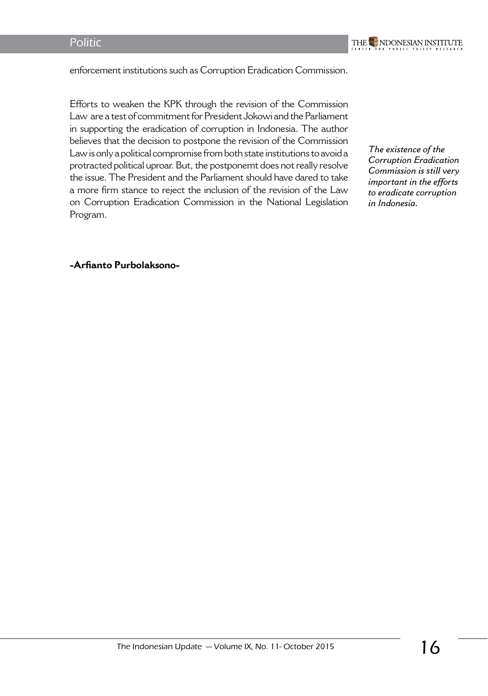enforcement institutions such as Corruption Eradication Commission.

Efforts to weaken the KPK through the revision of the Commission Law are a test of commitment for President Jokowi and the Parliament in supporting the eradication of corruption in Indonesia. The author believes that the decision to postpone the revision of the Commission Law is only a political compromise from both state institutions to avoid a protracted political uproar. But, the postponemt does not really resolve the issue. The President and the Parliament should have dared to take a more firm stance to reject the inclusion of the revision of the Law on Corruption Eradication Commission in the National Legislation Program.

*The existence of the Corruption Eradication Commission is still very important in the efforts to eradicate corruption in Indonesia.*

#### **-Arfianto Purbolaksono-**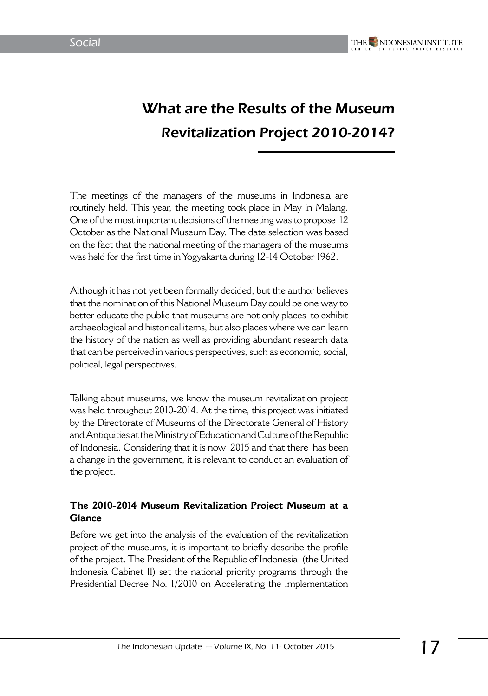# What are the Results of the Museum Revitalization Project 2010-2014?

The meetings of the managers of the museums in Indonesia are routinely held. This year, the meeting took place in May in Malang. One of the most important decisions of the meeting was to propose 12 October as the National Museum Day. The date selection was based on the fact that the national meeting of the managers of the museums was held for the first time in Yogyakarta during 12-14 October 1962.

Although it has not yet been formally decided, but the author believes that the nomination of this National Museum Day could be one way to better educate the public that museums are not only places to exhibit archaeological and historical items, but also places where we can learn the history of the nation as well as providing abundant research data that can be perceived in various perspectives, such as economic, social, political, legal perspectives.

Talking about museums, we know the museum revitalization project was held throughout 2010-2014. At the time, this project was initiated by the Directorate of Museums of the Directorate General of History and Antiquities at the Ministry of Education and Culture of the Republic of Indonesia. Considering that it is now 2015 and that there has been a change in the government, it is relevant to conduct an evaluation of the project.

#### **The 2010-2014 Museum Revitalization Project Museum at a Glance**

Before we get into the analysis of the evaluation of the revitalization project of the museums, it is important to briefly describe the profile of the project. The President of the Republic of Indonesia (the United Indonesia Cabinet II) set the national priority programs through the Presidential Decree No. 1/2010 on Accelerating the Implementation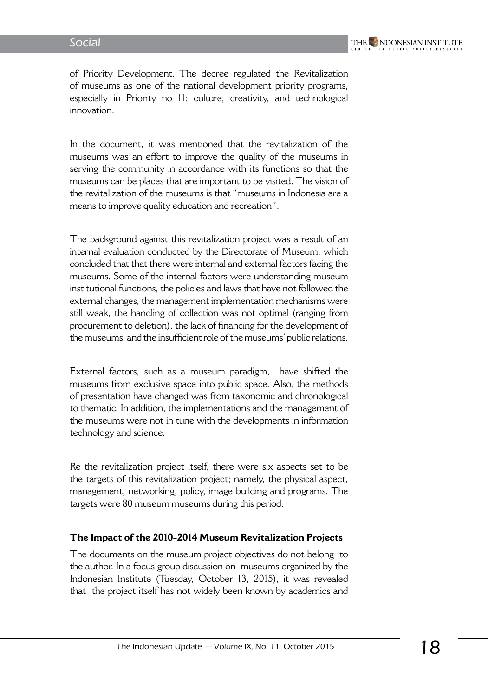of Priority Development. The decree regulated the Revitalization of museums as one of the national development priority programs, especially in Priority no 11: culture, creativity, and technological innovation.

In the document, it was mentioned that the revitalization of the museums was an effort to improve the quality of the museums in serving the community in accordance with its functions so that the museums can be places that are important to be visited. The vision of the revitalization of the museums is that "museums in Indonesia are a means to improve quality education and recreation".

The background against this revitalization project was a result of an internal evaluation conducted by the Directorate of Museum, which concluded that that there were internal and external factors facing the museums. Some of the internal factors were understanding museum institutional functions, the policies and laws that have not followed the external changes, the management implementation mechanisms were still weak, the handling of collection was not optimal (ranging from procurement to deletion), the lack of financing for the development of the museums, and the insufficient role of the museums' public relations.

External factors, such as a museum paradigm, have shifted the museums from exclusive space into public space. Also, the methods of presentation have changed was from taxonomic and chronological to thematic. In addition, the implementations and the management of the museums were not in tune with the developments in information technology and science.

Re the revitalization project itself, there were six aspects set to be the targets of this revitalization project; namely, the physical aspect, management, networking, policy, image building and programs. The targets were 80 museum museums during this period.

#### **The Impact of the 2010-2014 Museum Revitalization Projects**

The documents on the museum project objectives do not belong to the author. In a focus group discussion on museums organized by the Indonesian Institute (Tuesday, October 13, 2015), it was revealed that the project itself has not widely been known by academics and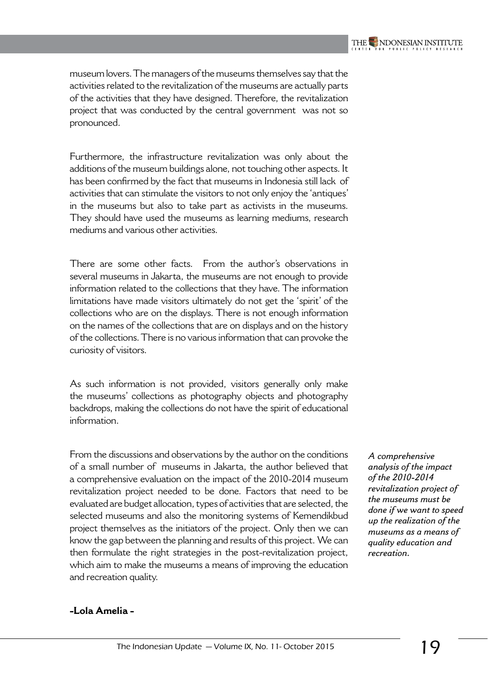museum lovers. The managers of the museums themselves say that the activities related to the revitalization of the museums are actually parts of the activities that they have designed. Therefore, the revitalization project that was conducted by the central government was not so pronounced.

Furthermore, the infrastructure revitalization was only about the additions of the museum buildings alone, not touching other aspects. It has been confirmed by the fact that museums in Indonesia still lack of activities that can stimulate the visitors to not only enjoy the 'antiques' in the museums but also to take part as activists in the museums. They should have used the museums as learning mediums, research mediums and various other activities.

There are some other facts. From the author's observations in several museums in Jakarta, the museums are not enough to provide information related to the collections that they have. The information limitations have made visitors ultimately do not get the 'spirit' of the collections who are on the displays. There is not enough information on the names of the collections that are on displays and on the history of the collections. There is no various information that can provoke the curiosity of visitors.

As such information is not provided, visitors generally only make the museums' collections as photography objects and photography backdrops, making the collections do not have the spirit of educational information.

From the discussions and observations by the author on the conditions of a small number of museums in Jakarta, the author believed that a comprehensive evaluation on the impact of the 2010-2014 museum revitalization project needed to be done. Factors that need to be evaluated are budget allocation, types of activities that are selected, the selected museums and also the monitoring systems of Kemendikbud project themselves as the initiators of the project. Only then we can know the gap between the planning and results of this project. We can then formulate the right strategies in the post-revitalization project, which aim to make the museums a means of improving the education and recreation quality.

*A comprehensive analysis of the impact of the 2010-2014 revitalization project of the museums must be done if we want to speed up the realization of the museums as a means of quality education and recreation.*

#### **-Lola Amelia -**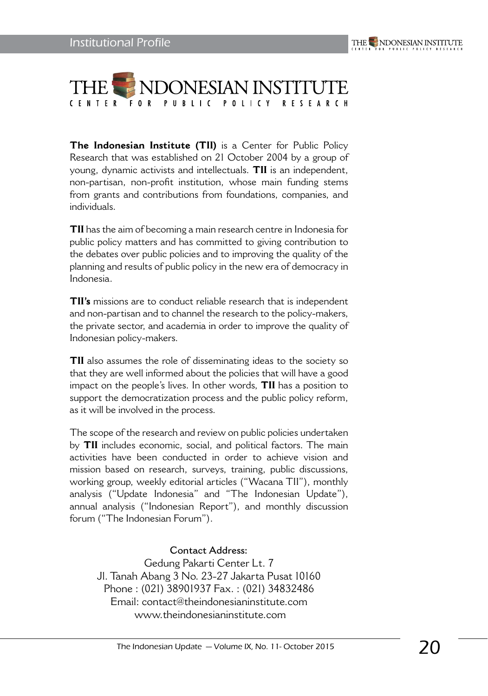

**The Indonesian Institute (TII)** is a Center for Public Policy Research that was established on 21 October 2004 by a group of young, dynamic activists and intellectuals. **TII** is an independent, non-partisan, non-profit institution, whose main funding stems from grants and contributions from foundations, companies, and individuals.

**TII** has the aim of becoming a main research centre in Indonesia for public policy matters and has committed to giving contribution to the debates over public policies and to improving the quality of the planning and results of public policy in the new era of democracy in Indonesia.

**TII's** missions are to conduct reliable research that is independent and non-partisan and to channel the research to the policy-makers, the private sector, and academia in order to improve the quality of Indonesian policy-makers.

**TII** also assumes the role of disseminating ideas to the society so that they are well informed about the policies that will have a good impact on the people's lives. In other words, **TII** has a position to support the democratization process and the public policy reform, as it will be involved in the process.

The scope of the research and review on public policies undertaken by **TII** includes economic, social, and political factors. The main activities have been conducted in order to achieve vision and mission based on research, surveys, training, public discussions, working group, weekly editorial articles ("Wacana TII"), monthly analysis ("Update Indonesia" and "The Indonesian Update"), annual analysis ("Indonesian Report"), and monthly discussion forum ("The Indonesian Forum").

#### **Contact Address:**

Gedung Pakarti Center Lt. 7 Jl. Tanah Abang 3 No. 23-27 Jakarta Pusat 10160 Phone : (021) 38901937 Fax. : (021) 34832486 Email: contact@theindonesianinstitute.com www.theindonesianinstitute.com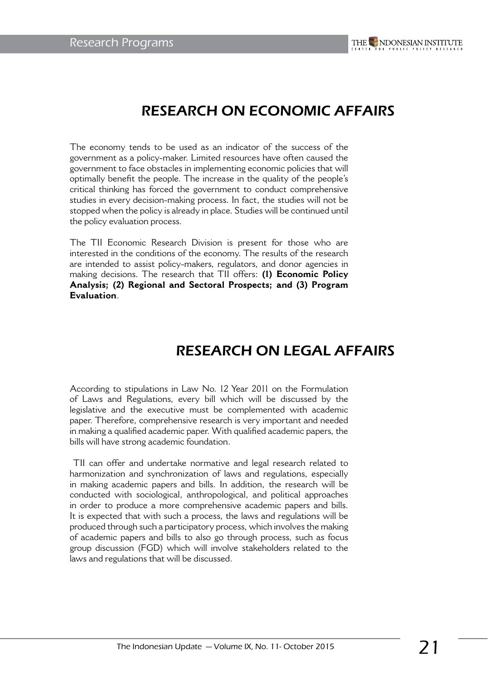### RESEARCH ON ECONOMIC AFFAIRS

The economy tends to be used as an indicator of the success of the government as a policy-maker. Limited resources have often caused the government to face obstacles in implementing economic policies that will optimally benefit the people. The increase in the quality of the people's critical thinking has forced the government to conduct comprehensive studies in every decision-making process. In fact, the studies will not be stopped when the policy is already in place. Studies will be continued until the policy evaluation process.

The TII Economic Research Division is present for those who are interested in the conditions of the economy. The results of the research are intended to assist policy-makers, regulators, and donor agencies in making decisions. The research that TII offers: **(1) Economic Policy Analysis; (2) Regional and Sectoral Prospects; and (3) Program Evaluation**.

### RESEARCH ON LEGAL AFFAIRS

According to stipulations in Law No. 12 Year 2011 on the Formulation of Laws and Regulations, every bill which will be discussed by the legislative and the executive must be complemented with academic paper. Therefore, comprehensive research is very important and needed in making a qualified academic paper. With qualified academic papers, the bills will have strong academic foundation.

 TII can offer and undertake normative and legal research related to harmonization and synchronization of laws and regulations, especially in making academic papers and bills. In addition, the research will be conducted with sociological, anthropological, and political approaches in order to produce a more comprehensive academic papers and bills. It is expected that with such a process, the laws and regulations will be produced through such a participatory process, which involves the making of academic papers and bills to also go through process, such as focus group discussion (FGD) which will involve stakeholders related to the laws and regulations that will be discussed.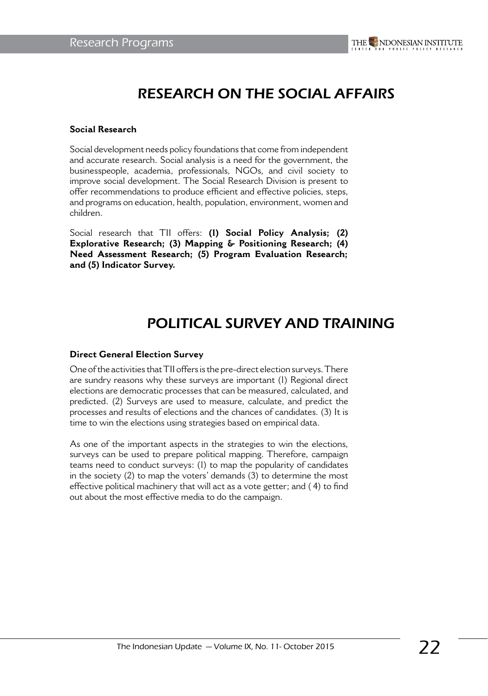### RESEARCH ON THE SOCIAL AFFAIRS

#### **Social Research**

Social development needs policy foundations that come from independent and accurate research. Social analysis is a need for the government, the businesspeople, academia, professionals, NGOs, and civil society to improve social development. The Social Research Division is present to offer recommendations to produce efficient and effective policies, steps, and programs on education, health, population, environment, women and children.

Social research that TII offers: **(1) Social Policy Analysis; (2) Explorative Research; (3) Mapping & Positioning Research; (4) Need Assessment Research; (5) Program Evaluation Research; and (5) Indicator Survey.**

### POLITICAL SURVEY AND TRAINING

#### **Direct General Election Survey**

One of the activities that TII offers is the pre-direct election surveys. There are sundry reasons why these surveys are important (1) Regional direct elections are democratic processes that can be measured, calculated, and predicted. (2) Surveys are used to measure, calculate, and predict the processes and results of elections and the chances of candidates. (3) It is time to win the elections using strategies based on empirical data.

As one of the important aspects in the strategies to win the elections, surveys can be used to prepare political mapping. Therefore, campaign teams need to conduct surveys: (1) to map the popularity of candidates in the society (2) to map the voters' demands (3) to determine the most effective political machinery that will act as a vote getter; and ( 4) to find out about the most effective media to do the campaign.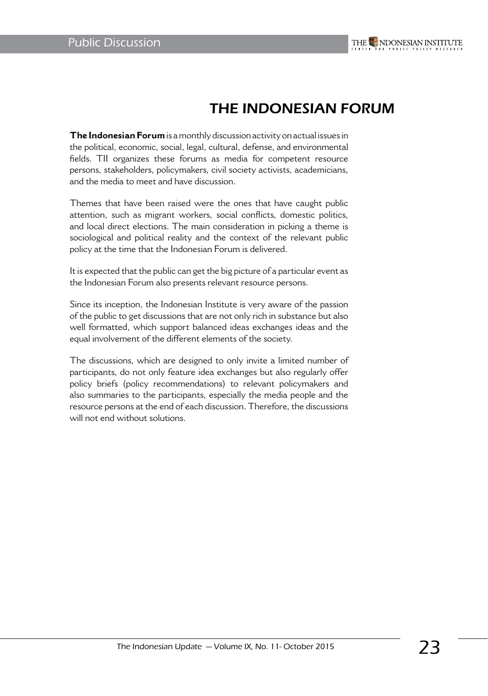

### THE INDONESIAN FORUM

**The Indonesian Forum** is a monthly discussion activity on actual issues in the political, economic, social, legal, cultural, defense, and environmental fields. TII organizes these forums as media for competent resource persons, stakeholders, policymakers, civil society activists, academicians, and the media to meet and have discussion.

Themes that have been raised were the ones that have caught public attention, such as migrant workers, social conflicts, domestic politics, and local direct elections. The main consideration in picking a theme is sociological and political reality and the context of the relevant public policy at the time that the Indonesian Forum is delivered.

It is expected that the public can get the big picture of a particular event as the Indonesian Forum also presents relevant resource persons.

Since its inception, the Indonesian Institute is very aware of the passion of the public to get discussions that are not only rich in substance but also well formatted, which support balanced ideas exchanges ideas and the equal involvement of the different elements of the society.

The discussions, which are designed to only invite a limited number of participants, do not only feature idea exchanges but also regularly offer policy briefs (policy recommendations) to relevant policymakers and also summaries to the participants, especially the media people and the resource persons at the end of each discussion. Therefore, the discussions will not end without solutions.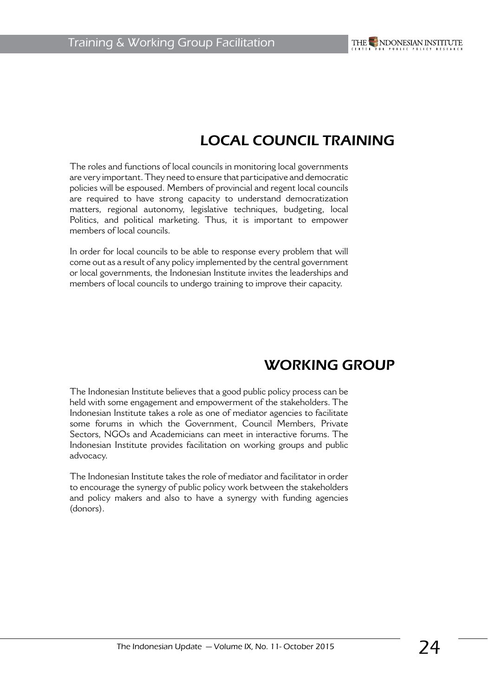# LOCAL COUNCIL TRAINING

The roles and functions of local councils in monitoring local governments are very important. They need to ensure that participative and democratic policies will be espoused. Members of provincial and regent local councils are required to have strong capacity to understand democratization matters, regional autonomy, legislative techniques, budgeting, local Politics, and political marketing. Thus, it is important to empower members of local councils.

In order for local councils to be able to response every problem that will come out as a result of any policy implemented by the central government or local governments, the Indonesian Institute invites the leaderships and members of local councils to undergo training to improve their capacity.

## WORKING GROUP

The Indonesian Institute believes that a good public policy process can be held with some engagement and empowerment of the stakeholders. The Indonesian Institute takes a role as one of mediator agencies to facilitate some forums in which the Government, Council Members, Private Sectors, NGOs and Academicians can meet in interactive forums. The Indonesian Institute provides facilitation on working groups and public advocacy.

The Indonesian Institute takes the role of mediator and facilitator in order to encourage the synergy of public policy work between the stakeholders and policy makers and also to have a synergy with funding agencies (donors).